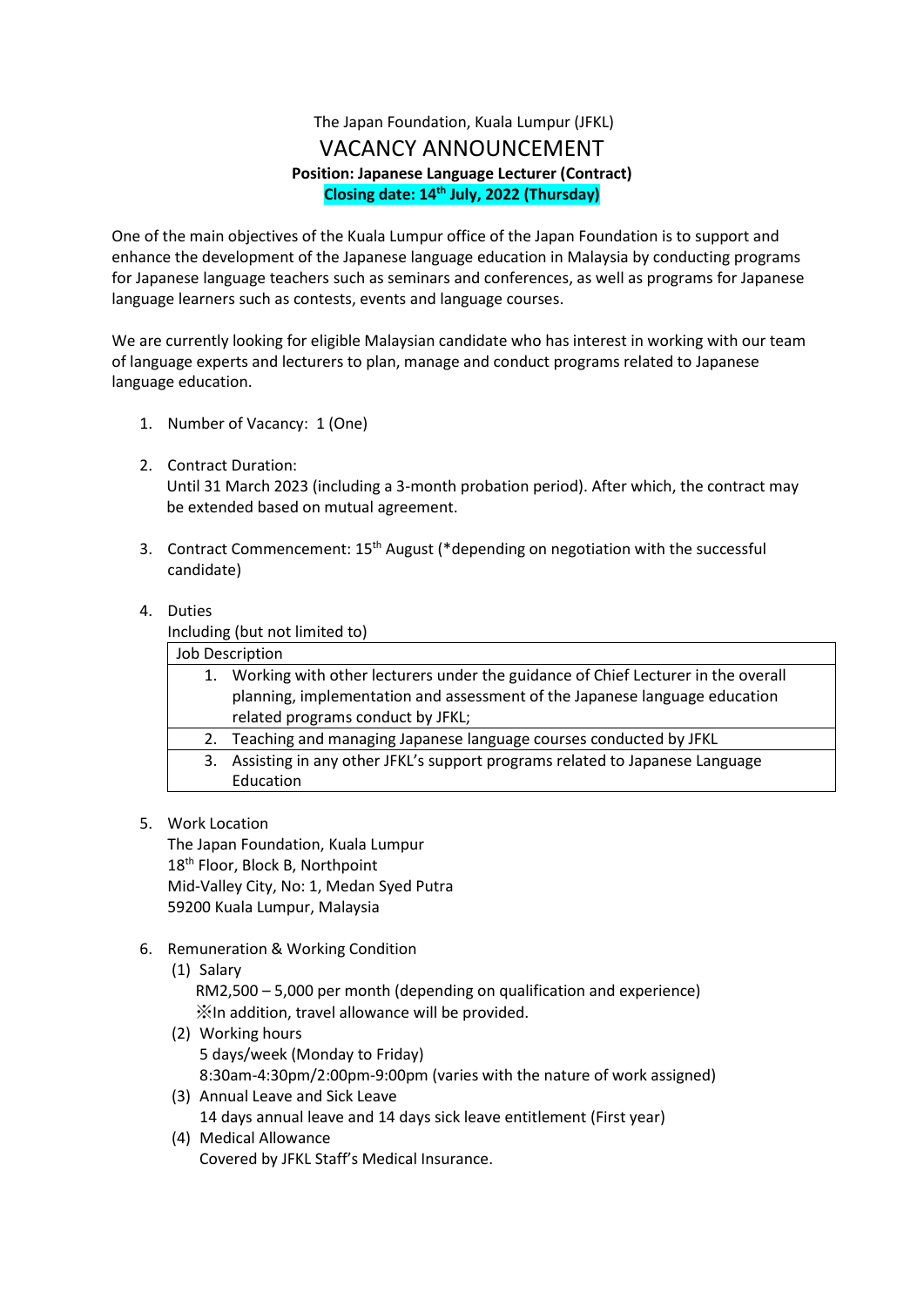# The Japan Foundation, Kuala Lumpur (JFKL) VACANCY ANNOUNCEMENT **Position: Japanese Language Lecturer (Contract) Closing date: 14th July, 2022 (Thursday)**

One of the main objectives of the Kuala Lumpur office of the Japan Foundation is to support and enhance the development of the Japanese language education in Malaysia by conducting programs for Japanese language teachers such as seminars and conferences, as well as programs for Japanese language learners such as contests, events and language courses.

We are currently looking for eligible Malaysian candidate who has interest in working with our team of language experts and lecturers to plan, manage and conduct programs related to Japanese language education.

- 1. Number of Vacancy: 1 (One)
- 2. Contract Duration: Until 31 March 2023 (including a 3-month probation period). After which, the contract may be extended based on mutual agreement.
- 3. Contract Commencement: 15<sup>th</sup> August (\*depending on negotiation with the successful candidate)

## 4. Duties

Including (but not limited to)

| Job Description |                                                                                  |
|-----------------|----------------------------------------------------------------------------------|
| 1.              | Working with other lecturers under the guidance of Chief Lecturer in the overall |
|                 | planning, implementation and assessment of the Japanese language education       |
|                 | related programs conduct by JFKL;                                                |
| 2.              | Teaching and managing Japanese language courses conducted by JFKL                |
| 3.              | Assisting in any other JFKL's support programs related to Japanese Language      |
|                 | Education                                                                        |
|                 |                                                                                  |

5. Work Location

The Japan Foundation, Kuala Lumpur 18<sup>th</sup> Floor, Block B, Northpoint Mid-Valley City, No: 1, Medan Syed Putra 59200 Kuala Lumpur, Malaysia

- 6. Remuneration & Working Condition
	- (1) Salary RM2,500 – 5,000 per month (depending on qualification and experience) ※In addition, travel allowance will be provided.
	- (2) Working hours 5 days/week (Monday to Friday) 8:30am-4:30pm/2:00pm-9:00pm (varies with the nature of work assigned)
	- (3) Annual Leave and Sick Leave 14 days annual leave and 14 days sick leave entitlement (First year) (4) Medical Allowance
	- Covered by JFKL Staff's Medical Insurance.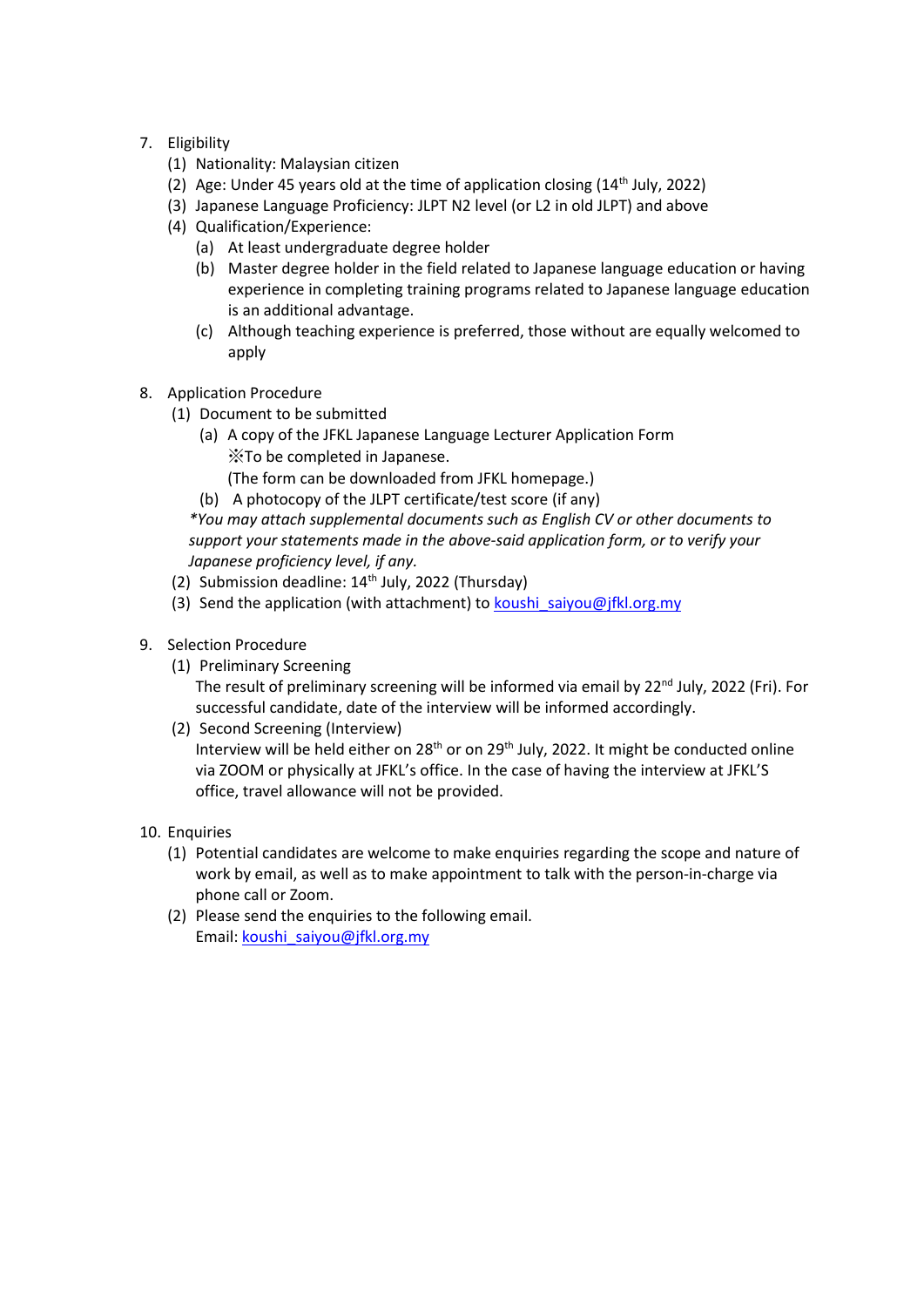# 7. Eligibility

- (1) Nationality: Malaysian citizen
- (2) Age: Under 45 years old at the time of application closing  $(14<sup>th</sup>$  July, 2022)
- (3) Japanese Language Proficiency: JLPT N2 level (or L2 in old JLPT) and above
- (4) Qualification/Experience:
	- (a) At least undergraduate degree holder
	- (b) Master degree holder in the field related to Japanese language education or having experience in completing training programs related to Japanese language education is an additional advantage.
	- (c) Although teaching experience is preferred, those without are equally welcomed to apply
- 8. Application Procedure
	- (1) Document to be submitted
		- (a) A copy of the JFKL Japanese Language Lecturer Application Form ※To be completed in Japanese.

(The form can be downloaded from JFKL homepage.)

(b) A photocopy of the JLPT certificate/test score (if any)

*\*You may attach supplemental documents such as English CV or other documents to support your statements made in the above-said application form, or to verify your Japanese proficiency level, if any.* 

- (2) Submission deadline: 14<sup>th</sup> July, 2022 (Thursday)
- (3) Send the application (with attachment) to [koushi\\_saiyou@jfkl.org.my](mailto:koushi_saiyou@jfkl.org.my)
- 9. Selection Procedure
	- (1) Preliminary Screening The result of preliminary screening will be informed via email by 22<sup>nd</sup> July, 2022 (Fri). For successful candidate, date of the interview will be informed accordingly.
	- (2) Second Screening (Interview) Interview will be held either on 28<sup>th</sup> or on 29<sup>th</sup> July, 2022. It might be conducted online via ZOOM or physically at JFKL's office. In the case of having the interview at JFKL'S office, travel allowance will not be provided.
- 10. Enquiries
	- (1) Potential candidates are welcome to make enquiries regarding the scope and nature of work by email, as well as to make appointment to talk with the person-in-charge via phone call or Zoom.
	- (2) Please send the enquiries to the following email. Email: [koushi\\_saiyou@jfkl.org.my](mailto:koushi_saiyou@jfkl.org.my)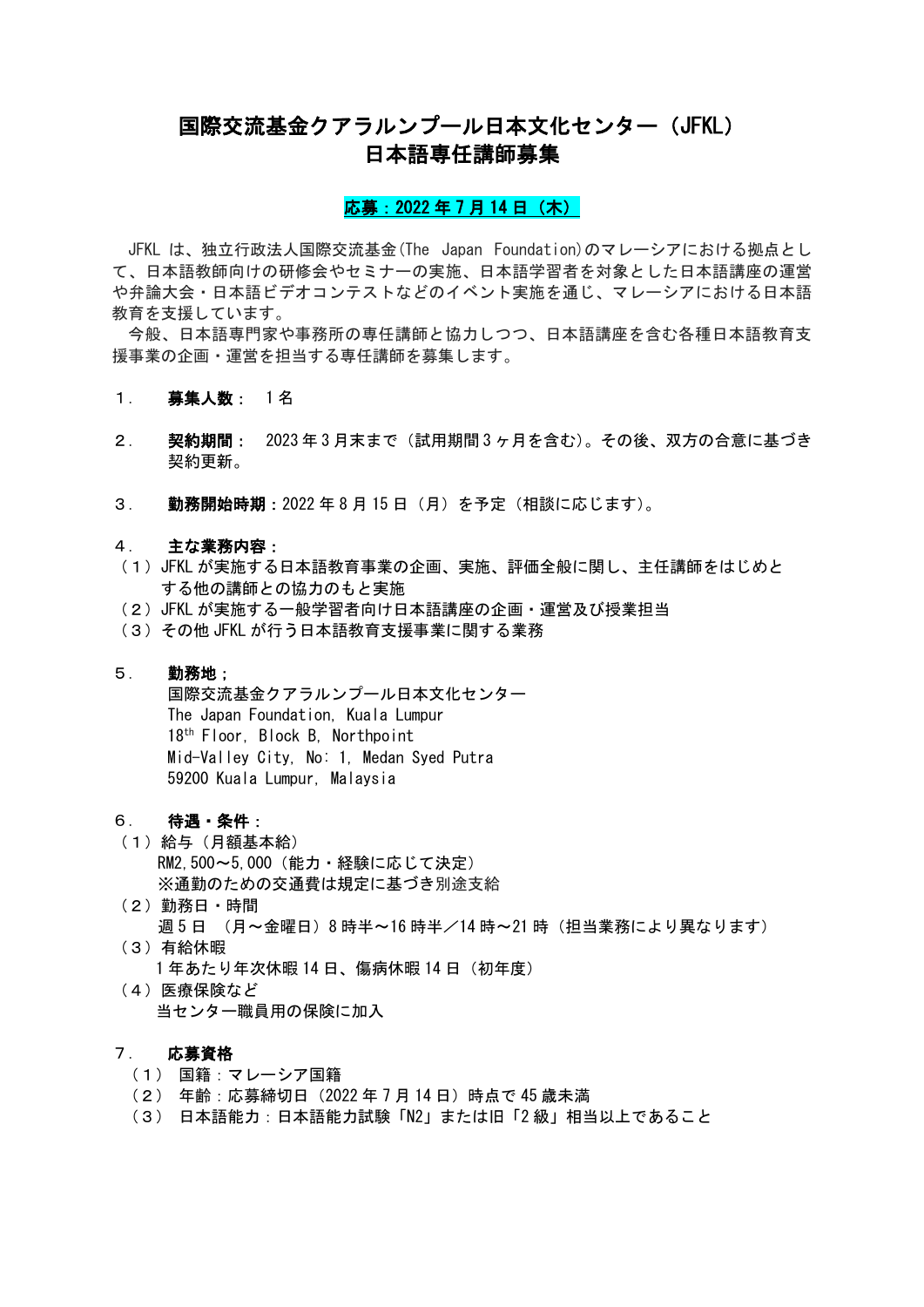# 国際交流基金クアラルンプール日本文化センター(JFKL) 日本語専任講師募集

## 応募: 2022 年 7 月 14 日 (木)

JFKL は、独立行政法人国際交流基金(The Japan Foundation)のマレーシアにおける拠点とし て、日本語教師向けの研修会やセミナーの実施、日本語学習者を対象とした日本語講座の運営 や弁論大会・日本語ビデオコンテストなどのイベント実施を通じ、マレーシアにおける日本語 教育を支援しています。

今般、日本語専門家や事務所の専任講師と協力しつつ、日本語講座を含む各種日本語教育支 援事業の企画・運営を担当する専任講師を募集します。

- 1. 募集人数: 1名
- 2. 契約期間: 2023 年 3 月末まで(試用期間 3 ヶ月を含む)。その後、双方の合意に基づき 契約更新。
- 3. 勤務開始時期:2022 年 8 月 15 日(月)を予定(相談に応じます)。

#### 4. 主な業務内容:

- (1)JFKL が実施する日本語教育事業の企画、実施、評価全般に関し、主任講師をはじめと する他の講師との協力のもと実施
- (2)JFKL が実施する一般学習者向け日本語講座の企画・運営及び授業担当
- (3)その他 JFKL が行う日本語教育支援事業に関する業務

### 5. 勤務地;

国際交流基金クアラルンプール日本文化センター The Japan Foundation, Kuala Lumpur 18th Floor, Block B, Northpoint Mid-Valley City, No: 1, Medan Syed Putra 59200 Kuala Lumpur, Malaysia

#### 6. 待遇・条件:

- (1)給与(月額基本給) RM2,500~5,000(能力・経験に応じて決定) ※通勤のための交通費は規定に基づき別途支給
- (2)勤務日・時間 週 5 日 (月~金曜日)8 時半~16 時半/14 時~21 時(担当業務により異なります)
- (3)有給休暇 1 年あたり年次休暇 14 日、傷病休暇 14 日(初年度)
- (4)医療保険など 当センター職員用の保険に加入

# 7. 応募資格

- (1) 国籍:マレーシア国籍
- (2) 年齢:応募締切日(2022 年 7 月 14 日)時点で 45 歳未満
- (3) 日本語能力:日本語能力試験「N2」または旧「2 級」相当以上であること